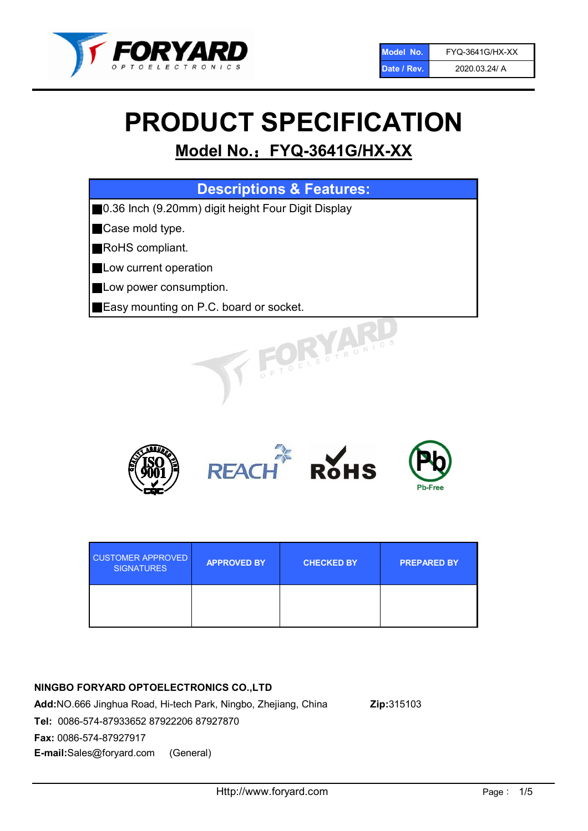

# PRODUCT SPECIFICATION

# Model No.: FYQ-3641G/HX-XX

| <b>Descriptions &amp; Features:</b>                |
|----------------------------------------------------|
| 0.36 Inch (9.20mm) digit height Four Digit Display |
| Case mold type.                                    |
| RoHS compliant.                                    |
| Low current operation                              |
| Low power consumption.                             |
| Easy mounting on P.C. board or socket.             |
| TOELECTRONICS                                      |



| <b>CUSTOMER APPROVED</b><br><b>SIGNATURES</b> | <b>APPROVED BY</b> | <b>CHECKED BY</b> | <b>PREPARED BY</b> |
|-----------------------------------------------|--------------------|-------------------|--------------------|
|                                               |                    |                   |                    |

# NINGBO FORYARD OPTOELECTRONICS CO.,LTD

Add:NO.666 Jinghua Road, Hi-tech Park, Ningbo, Zhejiang, China Zip:315103 Tel: 0086-574-87933652 87922206 87927870 Fax: 0086-574-87927917 E-mail:Sales@foryard.com (General)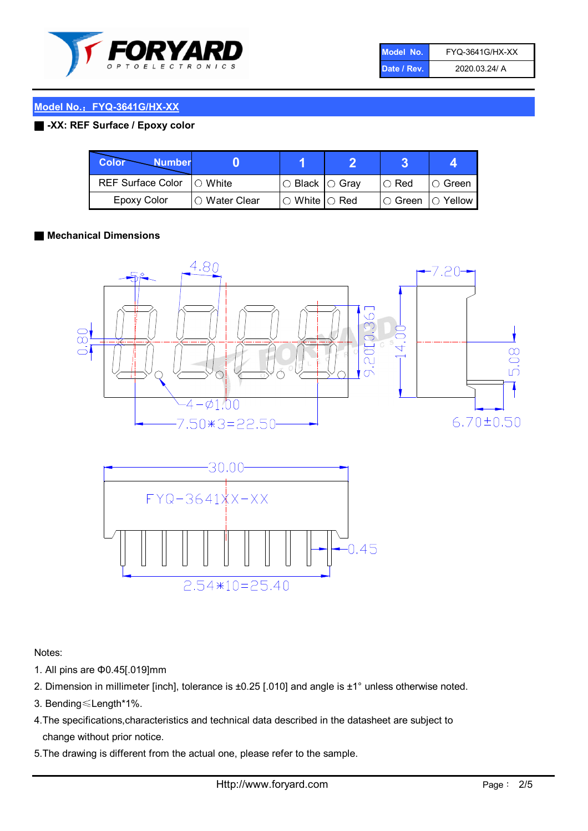

| Model No.   | FYQ-3641G/HX-XX |
|-------------|-----------------|
| Date / Rev. | 2020.03.24/ A   |

#### ■ -XX: REF Surface / Epoxy color

| Color<br><b>Number</b>      |                |                                                   |             |                |
|-----------------------------|----------------|---------------------------------------------------|-------------|----------------|
| REF Surface Color   O White |                | ○ Black  ○ Gray                                   | $\circ$ Red | $\circ$ Green  |
| Epoxy Color                 | I⊖ Water Clear | $\mathbin{\varcap}$ White $\mathbin{\varcap}$ Red | IO Green∶   | $\circ$ Yellow |

#### ■ Mechanical Dimensions





Notes:

- 1. All pins are Φ0.45[.019]mm
- 2. Dimension in millimeter [inch], tolerance is ±0.25 [.010] and angle is ±1° unless otherwise noted.
- 3. Bending≤Length\*1%.
- 4.The specifications,characteristics and technical data described in the datasheet are subject to change without prior notice.
- 5.The drawing is different from the actual one, please refer to the sample.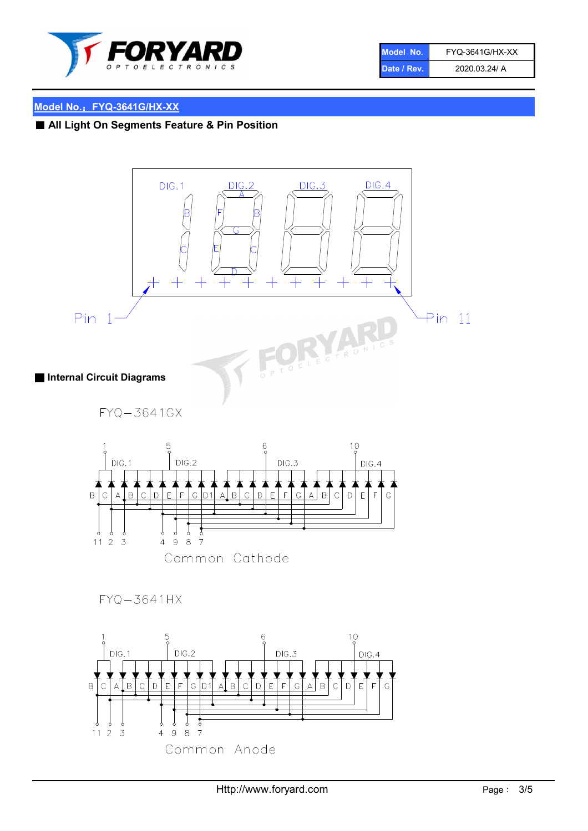

| Model No.   | <b>FYQ-3641G/HX-XX</b> |
|-------------|------------------------|
| Date / Rev. | 2020.03.24/ A          |

■ All Light On Segments Feature & Pin Position

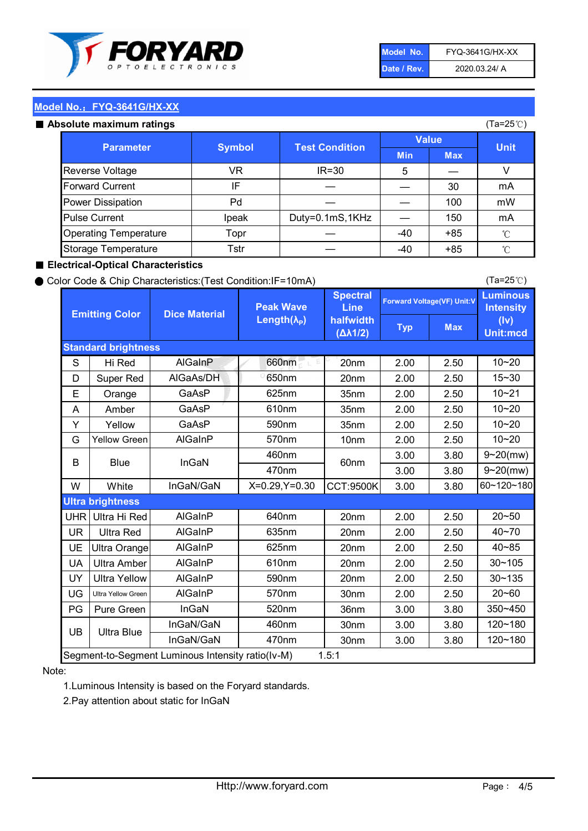

| Model No.   | <b>FYQ-3641G/HX-XX</b> |
|-------------|------------------------|
| Date / Rev. | 2020.03.24/ A          |

#### Absolute maximum ratings

| ISUIULU IIIAAIIIIUIIII TALIIIYS |               |                       |              |            | (⊺a−∠J ∪ <i>)</i> |
|---------------------------------|---------------|-----------------------|--------------|------------|-------------------|
| <b>Parameter</b>                | <b>Symbol</b> | <b>Test Condition</b> | <b>Value</b> |            | <b>Unit</b>       |
|                                 |               |                       | <b>Min</b>   | <b>Max</b> |                   |
| Reverse Voltage                 | VR            | $IR = 30$             | 5            |            |                   |
| <b>Forward Current</b>          | ΙF            |                       |              | 30         | mA                |
| Power Dissipation               | Pd            |                       |              | 100        | mW                |
| <b>Pulse Current</b>            | Ipeak         | Duty=0.1mS,1KHz       |              | 150        | mA                |
| <b>Operating Temperature</b>    | Topr          |                       | $-40$        | $+85$      | $^{\circ}$ C      |
| Storage Temperature             | Tstr          |                       | $-40$        | $+85$      | °C                |

#### ■ Electrical-Optical Characteristics

#### ● Color Code & Chip Characteristics:(Test Condition:IF=10mA)

Typ Max S | Hi $\textsf{Red}$  | AlGaInP | 660nm LE 20nm | 2.00 | 2.50 D | Super Red | AIGaAs/DH | 650nm | 20nm | 2.00 | 2.50 E | Orange | GaAsP | 625nm | 35nm | 2.00 | 2.50 A | Amber | GaAsP | 610nm | 35nm | 2.00 | 2.50 Y | Yellow | GaAsP | 590nm | 35nm | 2.00 | 2.50 G Yellow Green AIGaInP | 570nm | 10nm | 2.00 | 2.50 3.00 3.80 3.00 3.80 W | White | InGaN/GaN | X=0.29,Y=0.30 |CCT:9500K| 3.00 | 3.80 UHR Ultra Hi Red  $\vert$  AIGaInP  $\vert$  640nm  $\vert$  20nm  $\vert$  2.00  $\vert$  2.50 UR | Ultra Red | AlGaInP | 635nm | 20nm | 2.00 | 2.50 UE Ultra Orange | AIGaInP | 625nm | 20nm | 2.00 | 2.50 UA Ultra Amber | AIGaInP | 610nm | 20nm | 2.00 | 2.50  $UV$  Ultra Yellow  $\vert$  AlGaInP  $\vert$  590nm  $\vert$  20nm  $\vert$  2.00  $\vert$  2.50  $\text{UG}$  Ultra Yellow Green | AIGaInP | 570nm | 30nm | 2.00 | 2.50 PG | Pure Green | InGaN | 520nm | 36nm | 3.00 | 3.80 30nm 3.00 3.80 30nm 3.00 3.80 10~20 Standard brightness Forward Voltage(VF) Unit:V 15~30 10~20 10~20 625nm GaAsP 590nm **Emitting Color Dice Material** 10~21 610nm Luminous **Intensity** (Iv) Unit:mcd AlGainP 660nm GaAsP GaAsP AlGaAs/DH **Spectral** Line halfwidth (∆λ1/2) Peak Wave Length $(\lambda_{\rm P})$ UB 460nm 635nm AlGaInP AlGaInP AlGaInP InGaN/GaN AlGaInP | 570nm | 10nm | 2.00 | 2.50 | 10~20 30~105 30~135 460nm 520nm Ultra brightness **AlGaInP** AlGaInP 60nm AlGaInP 640nm Segment-to-Segment Luminous Intensity ratio(Iv-M) 1.5:1 610nm 9~20(mw) 350~450 470nm 120~180 120~180 Ultra Blue InGaN/GaN 9~20(mw) 20~50 570nm | 30nm | 2.00 | 2.50 | 20~60 470nm 590nm InGaN/GaN B Blue I InGaN 40~85 60~120~180 40~70

#### Note:

1.Luminous Intensity is based on the Foryard standards.

2.Pay attention about static for InGaN

(Ta=25℃)

(Ta=25℃)